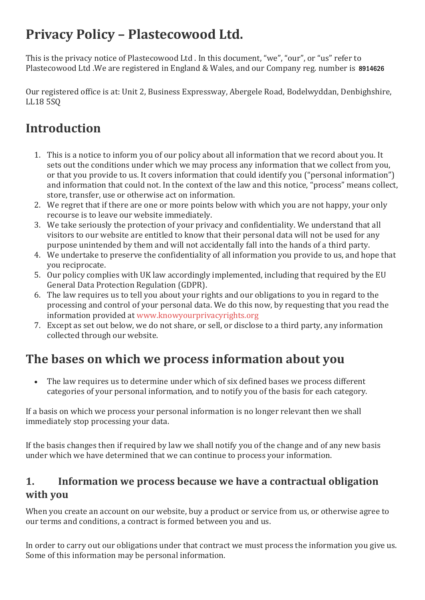# **Privacy Policy – Plastecowood Ltd.**

This is the privacy notice of Plastecowood Ltd . In this document, "we", "our", or "us" refer to Plastecowood Ltd .We are registered in England & Wales, and our Company reg. number is 8914626

Our registered office is at: Unit 2, Business Expressway, Abergele Road, Bodelwyddan, Denbighshire, LL18 5SQ

# **Introduction**

- 1. This is a notice to inform you of our policy about all information that we record about you. It sets out the conditions under which we may process any information that we collect from you, or that you provide to us. It covers information that could identify you ("personal information") and information that could not. In the context of the law and this notice, "process" means collect, store, transfer, use or otherwise act on information.
- 2. We regret that if there are one or more points below with which you are not happy, your only recourse is to leave our website immediately.
- 3. We take seriously the protection of your privacy and confidentiality. We understand that all visitors to our website are entitled to know that their personal data will not be used for any purpose unintended by them and will not accidentally fall into the hands of a third party.
- 4. We undertake to preserve the confidentiality of all information you provide to us, and hope that you reciprocate.
- 5. Our policy complies with UK law accordingly implemented, including that required by the EU General Data Protection Regulation (GDPR).
- 6. The law requires us to tell you about your rights and our obligations to you in regard to the processing and control of your personal data. We do this now, by requesting that you read the information provided a[t www.knowyourprivacyrights.org](http://www.knowyourprivacyrights.org/)
- 7. Except as set out below, we do not share, or sell, or disclose to a third party, any information collected through our website.

# **The bases on which we process information about you**

The law requires us to determine under which of six defined bases we process different categories of your personal information, and to notify you of the basis for each category.

If a basis on which we process your personal information is no longer relevant then we shall immediately stop processing your data.

If the basis changes then if required by law we shall notify you of the change and of any new basis under which we have determined that we can continue to process your information.

### **1. Information we process because we have a contractual obligation with you**

When you create an account on our website, buy a product or service from us, or otherwise agree to our terms and conditions, a contract is formed between you and us.

In order to carry out our obligations under that contract we must process the information you give us. Some of this information may be personal information.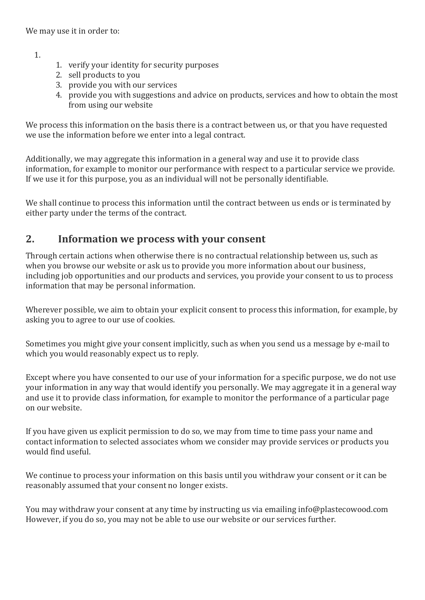We may use it in order to:

1.

- 1. verify your identity for security purposes
- 2. sell products to you
- 3. provide you with our services
- 4. provide you with suggestions and advice on products, services and how to obtain the most from using our website

We process this information on the basis there is a contract between us, or that you have requested we use the information before we enter into a legal contract.

Additionally, we may aggregate this information in a general way and use it to provide class information, for example to monitor our performance with respect to a particular service we provide. If we use it for this purpose, you as an individual will not be personally identifiable.

We shall continue to process this information until the contract between us ends or is terminated by either party under the terms of the contract.

#### **2. Information we process with your consent**

Through certain actions when otherwise there is no contractual relationship between us, such as when you browse our website or ask us to provide you more information about our business, including job opportunities and our products and services, you provide your consent to us to process information that may be personal information.

Wherever possible, we aim to obtain your explicit consent to process this information, for example, by asking you to agree to our use of cookies.

Sometimes you might give your consent implicitly, such as when you send us a message by e-mail to which you would reasonably expect us to reply.

Except where you have consented to our use of your information for a specific purpose, we do not use your information in any way that would identify you personally. We may aggregate it in a general way and use it to provide class information, for example to monitor the performance of a particular page on our website.

If you have given us explicit permission to do so, we may from time to time pass your name and contact information to selected associates whom we consider may provide services or products you would find useful.

We continue to process your information on this basis until you withdraw your consent or it can be reasonably assumed that your consent no longer exists.

You may withdraw your consent at any time by instructing us via emailing info@plastecowood.com However, if you do so, you may not be able to use our website or our services further.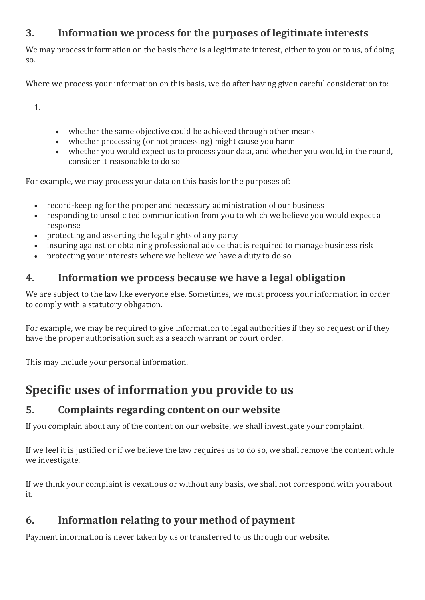### **3. Information we process for the purposes of legitimate interests**

We may process information on the basis there is a legitimate interest, either to you or to us, of doing so.

Where we process your information on this basis, we do after having given careful consideration to:

1.

- whether the same objective could be achieved through other means
- whether processing (or not processing) might cause you harm
- whether you would expect us to process your data, and whether you would, in the round, consider it reasonable to do so

For example, we may process your data on this basis for the purposes of:

- record-keeping for the proper and necessary administration of our business
- responding to unsolicited communication from you to which we believe you would expect a response
- protecting and asserting the legal rights of any party
- insuring against or obtaining professional advice that is required to manage business risk
- protecting your interests where we believe we have a duty to do so

### **4. Information we process because we have a legal obligation**

We are subject to the law like everyone else. Sometimes, we must process your information in order to comply with a statutory obligation.

For example, we may be required to give information to legal authorities if they so request or if they have the proper authorisation such as a search warrant or court order.

This may include your personal information.

# **Specific uses of information you provide to us**

### **5. Complaints regarding content on our website**

If you complain about any of the content on our website, we shall investigate your complaint.

If we feel it is justified or if we believe the law requires us to do so, we shall remove the content while we investigate.

If we think your complaint is vexatious or without any basis, we shall not correspond with you about it.

### **6. Information relating to your method of payment**

Payment information is never taken by us or transferred to us through our website.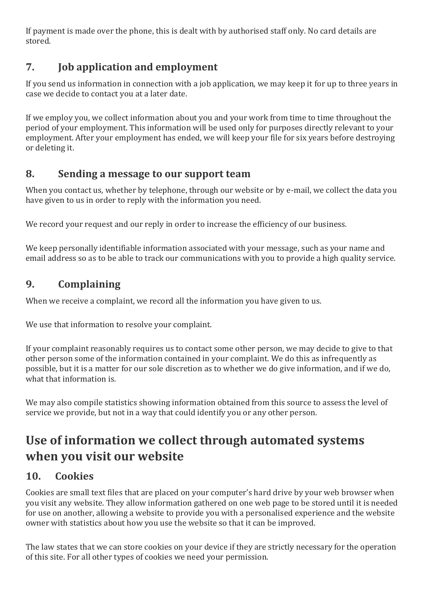If payment is made over the phone, this is dealt with by authorised staff only. No card details are stored.

# **7. Job application and employment**

If you send us information in connection with a job application, we may keep it for up to three years in case we decide to contact you at a later date.

If we employ you, we collect information about you and your work from time to time throughout the period of your employment. This information will be used only for purposes directly relevant to your employment. After your employment has ended, we will keep your file for six years before destroying or deleting it.

### **8. Sending a message to our support team**

When you contact us, whether by telephone, through our website or by e-mail, we collect the data you have given to us in order to reply with the information you need.

We record your request and our reply in order to increase the efficiency of our business.

We keep personally identifiable information associated with your message, such as your name and email address so as to be able to track our communications with you to provide a high quality service.

## **9. Complaining**

When we receive a complaint, we record all the information you have given to us.

We use that information to resolve your complaint.

If your complaint reasonably requires us to contact some other person, we may decide to give to that other person some of the information contained in your complaint. We do this as infrequently as possible, but it is a matter for our sole discretion as to whether we do give information, and if we do, what that information is.

We may also compile statistics showing information obtained from this source to assess the level of service we provide, but not in a way that could identify you or any other person.

# **Use of information we collect through automated systems when you visit our website**

## **10. Cookies**

Cookies are small text files that are placed on your computer's hard drive by your web browser when you visit any website. They allow information gathered on one web page to be stored until it is needed for use on another, allowing a website to provide you with a personalised experience and the website owner with statistics about how you use the website so that it can be improved.

The law states that we can store cookies on your device if they are strictly necessary for the operation of this site. For all other types of cookies we need your permission.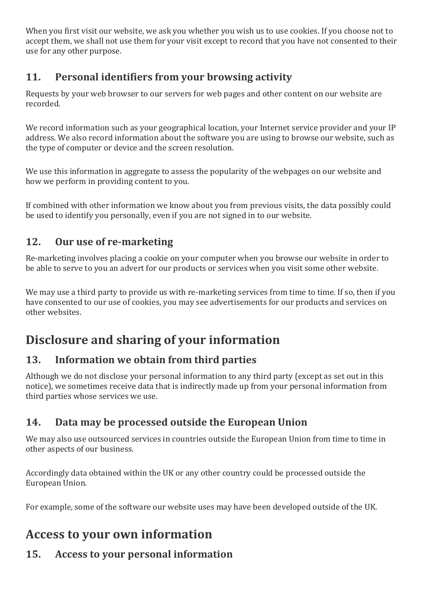When you first visit our website, we ask you whether you wish us to use cookies. If you choose not to accept them, we shall not use them for your visit except to record that you have not consented to their use for any other purpose.

## **11. Personal identifiers from your browsing activity**

Requests by your web browser to our servers for web pages and other content on our website are recorded.

We record information such as your geographical location, your Internet service provider and your IP address. We also record information about the software you are using to browse our website, such as the type of computer or device and the screen resolution.

We use this information in aggregate to assess the popularity of the webpages on our website and how we perform in providing content to you.

If combined with other information we know about you from previous visits, the data possibly could be used to identify you personally, even if you are not signed in to our website.

# **12. Our use of re-marketing**

Re-marketing involves placing a cookie on your computer when you browse our website in order to be able to serve to you an advert for our products or services when you visit some other website.

We may use a third party to provide us with re-marketing services from time to time. If so, then if you have consented to our use of cookies, you may see advertisements for our products and services on other websites.

# **Disclosure and sharing of your information**

## **13. Information we obtain from third parties**

Although we do not disclose your personal information to any third party (except as set out in this notice), we sometimes receive data that is indirectly made up from your personal information from third parties whose services we use.

## **14. Data may be processed outside the European Union**

We may also use outsourced services in countries outside the European Union from time to time in other aspects of our business.

Accordingly data obtained within the UK or any other country could be processed outside the European Union.

For example, some of the software our website uses may have been developed outside of the UK.

# **Access to your own information**

# **15. Access to your personal information**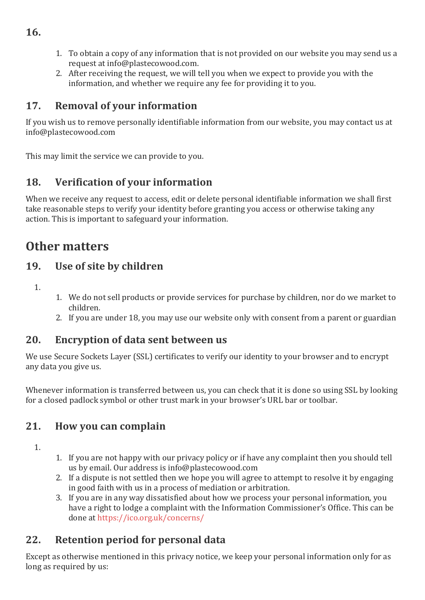- 1. To obtain a copy of any information that is not provided on our website you may send us a request at info@plastecowood.com.
- 2. After receiving the request, we will tell you when we expect to provide you with the information, and whether we require any fee for providing it to you.

## **17. Removal of your information**

If you wish us to remove personally identifiable information from our website, you may contact us at info@plastecowood.com

This may limit the service we can provide to you.

# **18. Verification of your information**

When we receive any request to access, edit or delete personal identifiable information we shall first take reasonable steps to verify your identity before granting you access or otherwise taking any action. This is important to safeguard your information.

# **Other matters**

### **19. Use of site by children**

1.

- 1. We do not sell products or provide services for purchase by children, nor do we market to children.
- 2. If you are under 18, you may use our website only with consent from a parent or guardian

### **20. Encryption of data sent between us**

We use Secure Sockets Layer (SSL) certificates to verify our identity to your browser and to encrypt any data you give us.

Whenever information is transferred between us, you can check that it is done so using SSL by looking for a closed padlock symbol or other trust mark in your browser's URL bar or toolbar.

### **21. How you can complain**

- 1.
- 1. If you are not happy with our privacy policy or if have any complaint then you should tell us by email. Our address is info@plastecowood.com
- 2. If a dispute is not settled then we hope you will agree to attempt to resolve it by engaging in good faith with us in a process of mediation or arbitration.
- 3. If you are in any way dissatisfied about how we process your personal information, you have a right to lodge a complaint with the Information Commissioner's Office. This can be done at<https://ico.org.uk/concerns/>

# **22. Retention period for personal data**

Except as otherwise mentioned in this privacy notice, we keep your personal information only for as long as required by us:

**16.**